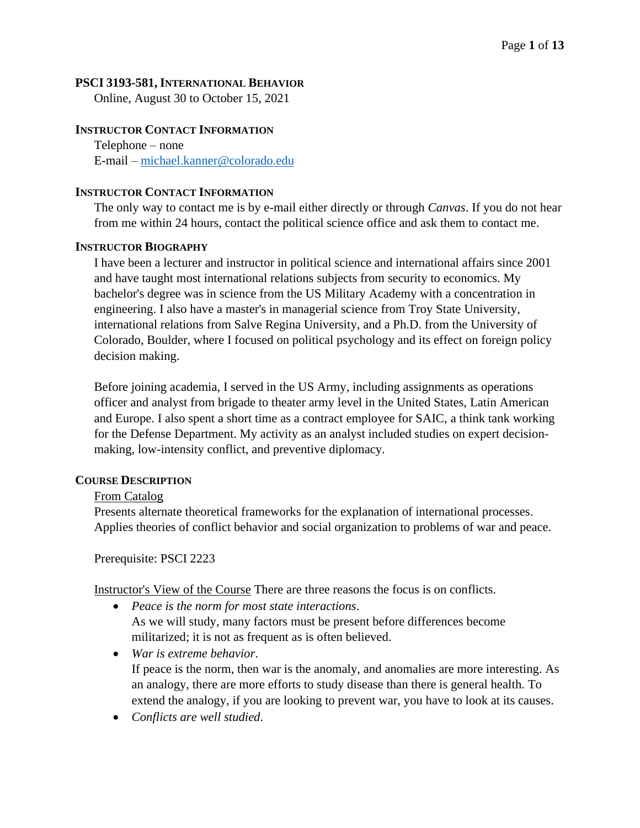#### **PSCI 3193-581, INTERNATIONAL BEHAVIOR**

Online, August 30 to October 15, 2021

#### **INSTRUCTOR CONTACT INFORMATION**

Telephone – none E-mail – [michael.kanner@colorado.edu](mailto:michael.kanner@colorado.edu)

#### **INSTRUCTOR CONTACT INFORMATION**

The only way to contact me is by e-mail either directly or through *Canvas*. If you do not hear from me within 24 hours, contact the political science office and ask them to contact me.

#### **INSTRUCTOR BIOGRAPHY**

I have been a lecturer and instructor in political science and international affairs since 2001 and have taught most international relations subjects from security to economics. My bachelor's degree was in science from the US Military Academy with a concentration in engineering. I also have a master's in managerial science from Troy State University, international relations from Salve Regina University, and a Ph.D. from the University of Colorado, Boulder, where I focused on political psychology and its effect on foreign policy decision making.

Before joining academia, I served in the US Army, including assignments as operations officer and analyst from brigade to theater army level in the United States, Latin American and Europe. I also spent a short time as a contract employee for SAIC, a think tank working for the Defense Department. My activity as an analyst included studies on expert decisionmaking, low-intensity conflict, and preventive diplomacy.

#### **COURSE DESCRIPTION**

#### From Catalog

Presents alternate theoretical frameworks for the explanation of international processes. Applies theories of conflict behavior and social organization to problems of war and peace.

Prerequisite: PSCI 2223

Instructor's View of the Course There are three reasons the focus is on conflicts.

- *Peace is the norm for most state interactions*. As we will study, many factors must be present before differences become militarized; it is not as frequent as is often believed.
- *War is extreme behavior*. If peace is the norm, then war is the anomaly, and anomalies are more interesting. As an analogy, there are more efforts to study disease than there is general health. To extend the analogy, if you are looking to prevent war, you have to look at its causes.
- *Conflicts are well studied*.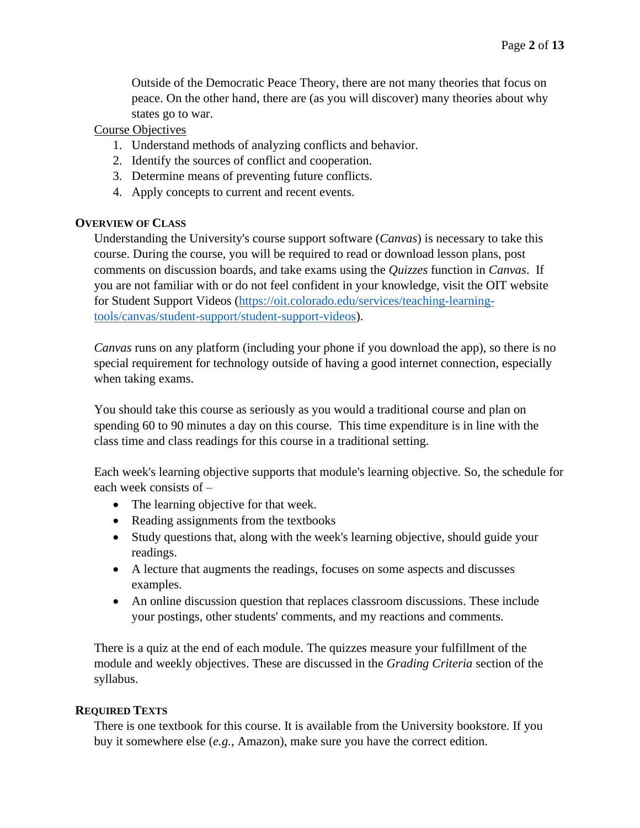Outside of the Democratic Peace Theory, there are not many theories that focus on peace. On the other hand, there are (as you will discover) many theories about why states go to war.

### Course Objectives

- 1. Understand methods of analyzing conflicts and behavior.
- 2. Identify the sources of conflict and cooperation.
- 3. Determine means of preventing future conflicts.
- 4. Apply concepts to current and recent events.

## **OVERVIEW OF CLASS**

Understanding the University's course support software (*Canvas*) is necessary to take this course. During the course, you will be required to read or download lesson plans, post comments on discussion boards, and take exams using the *Quizzes* function in *Canvas*. If you are not familiar with or do not feel confident in your knowledge, visit the OIT website for Student Support Videos [\(https://oit.colorado.edu/services/teaching-learning](https://oit.colorado.edu/services/teaching-learning-tools/canvas/student-support/student-support-videos)[tools/canvas/student-support/student-support-videos\)](https://oit.colorado.edu/services/teaching-learning-tools/canvas/student-support/student-support-videos).

*Canvas* runs on any platform (including your phone if you download the app), so there is no special requirement for technology outside of having a good internet connection, especially when taking exams.

You should take this course as seriously as you would a traditional course and plan on spending 60 to 90 minutes a day on this course. This time expenditure is in line with the class time and class readings for this course in a traditional setting.

Each week's learning objective supports that module's learning objective. So, the schedule for each week consists of –

- The learning objective for that week.
- Reading assignments from the textbooks
- Study questions that, along with the week's learning objective, should guide your readings.
- A lecture that augments the readings, focuses on some aspects and discusses examples.
- An online discussion question that replaces classroom discussions. These include your postings, other students' comments, and my reactions and comments.

There is a quiz at the end of each module. The quizzes measure your fulfillment of the module and weekly objectives. These are discussed in the *Grading Criteria* section of the syllabus.

## **REQUIRED TEXTS**

There is one textbook for this course. It is available from the University bookstore. If you buy it somewhere else (*e.g.*, Amazon), make sure you have the correct edition.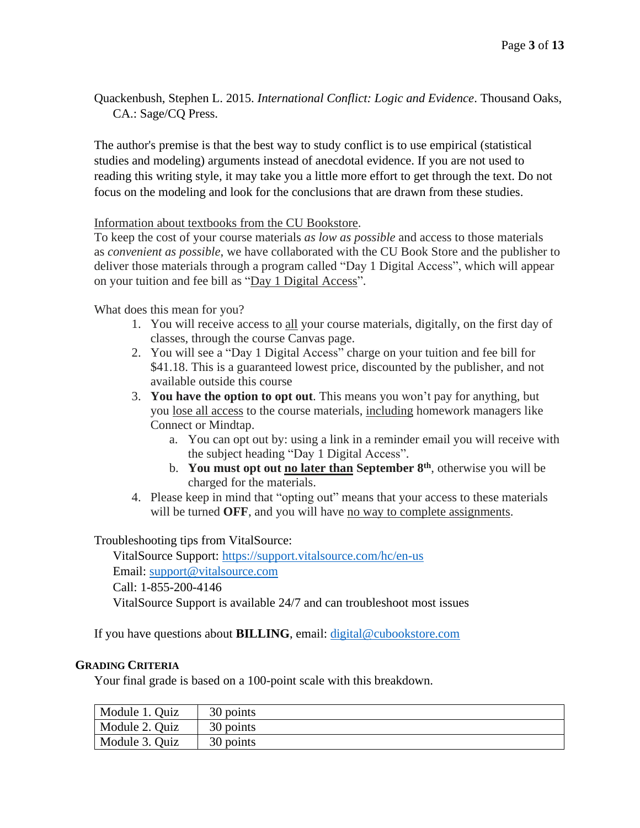Quackenbush, Stephen L. 2015. *International Conflict: Logic and Evidence*. Thousand Oaks, CA.: Sage/CQ Press.

The author's premise is that the best way to study conflict is to use empirical (statistical studies and modeling) arguments instead of anecdotal evidence. If you are not used to reading this writing style, it may take you a little more effort to get through the text. Do not focus on the modeling and look for the conclusions that are drawn from these studies.

#### Information about textbooks from the CU Bookstore.

To keep the cost of your course materials *as low as possible* and access to those materials as *convenient as possible*, we have collaborated with the CU Book Store and the publisher to deliver those materials through a program called "Day 1 Digital Access", which will appear on your tuition and fee bill as "Day 1 Digital Access".

What does this mean for you?

- 1. You will receive access to all your course materials, digitally, on the first day of classes, through the course Canvas page.
- 2. You will see a "Day 1 Digital Access" charge on your tuition and fee bill for \$41.18. This is a guaranteed lowest price, discounted by the publisher, and not available outside this course
- 3. **You have the option to opt out**. This means you won't pay for anything, but you lose all access to the course materials, including homework managers like Connect or Mindtap.
	- a. You can opt out by: using a link in a reminder email you will receive with the subject heading "Day 1 Digital Access".
	- b. **You must opt out no later than September 8 th** , otherwise you will be charged for the materials.
- 4. Please keep in mind that "opting out" means that your access to these materials will be turned **OFF**, and you will have no way to complete assignments.

Troubleshooting tips from VitalSource:

VitalSource Support: <https://support.vitalsource.com/hc/en-us> Email: [support@vitalsource.com](mailto:support@vitalsource.com) Call: 1-855-200-4146 VitalSource Support is available 24/7 and can troubleshoot most issues

If you have questions about **BILLING**, email: [digital@cubookstore.com](mailto:digital@cubookstore.com)

## **GRADING CRITERIA**

Your final grade is based on a 100-point scale with this breakdown.

| Module 1. Quiz | 30 points |
|----------------|-----------|
| Module 2. Quiz | 30 points |
| Module 3. Quiz | 30 points |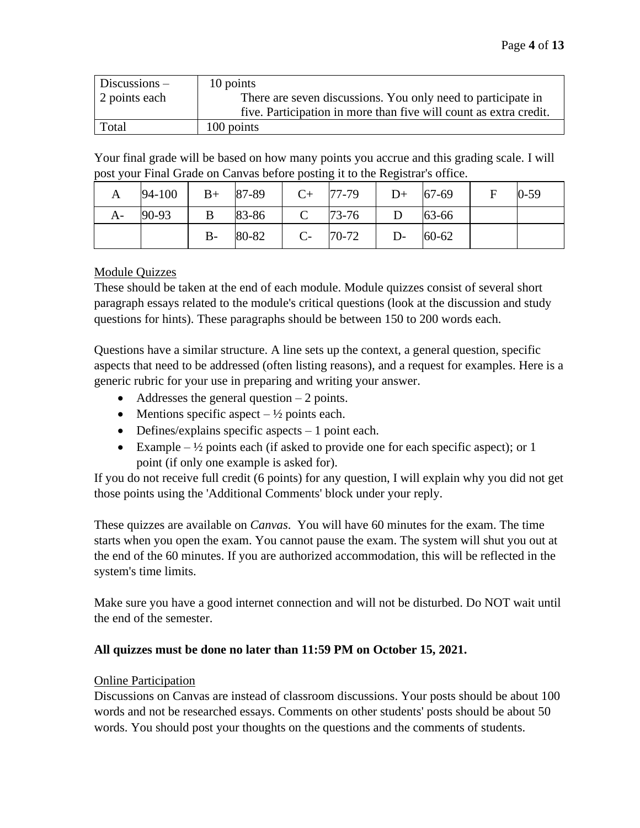| $Discussion -$ | 10 points                                                         |
|----------------|-------------------------------------------------------------------|
| 2 points each  | There are seven discussions. You only need to participate in      |
|                | five. Participation in more than five will count as extra credit. |
| Total          | 100 points                                                        |

Your final grade will be based on how many points you accrue and this grading scale. I will post your Final Grade on Canvas before posting it to the Registrar's office.

| A  | 94-100 | $B+$  | 87-89 | $C+$         | 77-79     | $D+$ | 67-69     | F | $0 - 59$ |
|----|--------|-------|-------|--------------|-----------|------|-----------|---|----------|
| A- | 90-93  |       | 83-86 | $\mathsf{C}$ | $73 - 76$ |      | 63-66     |   |          |
|    |        | $B -$ | 80-82 | $C-$         | $70-72$   | $D-$ | $60 - 62$ |   |          |

### Module Quizzes

These should be taken at the end of each module. Module quizzes consist of several short paragraph essays related to the module's critical questions (look at the discussion and study questions for hints). These paragraphs should be between 150 to 200 words each.

Questions have a similar structure. A line sets up the context, a general question, specific aspects that need to be addressed (often listing reasons), and a request for examples. Here is a generic rubric for your use in preparing and writing your answer.

- Addresses the general question  $-2$  points.
- Mentions specific aspect  $-\frac{1}{2}$  points each.
- Defines/explains specific aspects  $-1$  point each.
- Example  $-\frac{1}{2}$  points each (if asked to provide one for each specific aspect); or 1 point (if only one example is asked for).

If you do not receive full credit (6 points) for any question, I will explain why you did not get those points using the 'Additional Comments' block under your reply.

These quizzes are available on *Canvas*. You will have 60 minutes for the exam. The time starts when you open the exam. You cannot pause the exam. The system will shut you out at the end of the 60 minutes. If you are authorized accommodation, this will be reflected in the system's time limits.

Make sure you have a good internet connection and will not be disturbed. Do NOT wait until the end of the semester.

## **All quizzes must be done no later than 11:59 PM on October 15, 2021.**

#### Online Participation

Discussions on Canvas are instead of classroom discussions. Your posts should be about 100 words and not be researched essays. Comments on other students' posts should be about 50 words. You should post your thoughts on the questions and the comments of students.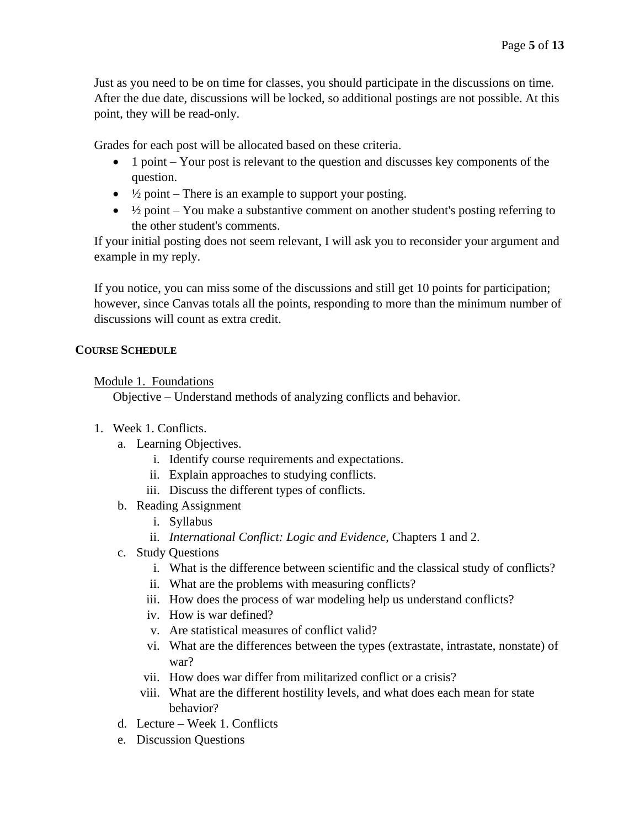Just as you need to be on time for classes, you should participate in the discussions on time. After the due date, discussions will be locked, so additional postings are not possible. At this point, they will be read-only.

Grades for each post will be allocated based on these criteria.

- 1 point Your post is relevant to the question and discusses key components of the question.
- $\frac{1}{2}$  point There is an example to support your posting.
- $\bullet$   $\frac{1}{2}$  point You make a substantive comment on another student's posting referring to the other student's comments.

If your initial posting does not seem relevant, I will ask you to reconsider your argument and example in my reply.

If you notice, you can miss some of the discussions and still get 10 points for participation; however, since Canvas totals all the points, responding to more than the minimum number of discussions will count as extra credit.

### **COURSE SCHEDULE**

### Module 1. Foundations

Objective – Understand methods of analyzing conflicts and behavior.

- 1. Week 1. Conflicts.
	- a. Learning Objectives.
		- i. Identify course requirements and expectations.
		- ii. Explain approaches to studying conflicts.
		- iii. Discuss the different types of conflicts.
	- b. Reading Assignment
		- i. Syllabus
		- ii. *International Conflict: Logic and Evidence*, Chapters 1 and 2.
	- c. Study Questions
		- i. What is the difference between scientific and the classical study of conflicts?
		- ii. What are the problems with measuring conflicts?
		- iii. How does the process of war modeling help us understand conflicts?
		- iv. How is war defined?
		- v. Are statistical measures of conflict valid?
		- vi. What are the differences between the types (extrastate, intrastate, nonstate) of war?
		- vii. How does war differ from militarized conflict or a crisis?
		- viii. What are the different hostility levels, and what does each mean for state behavior?
	- d. Lecture Week 1. Conflicts
	- e. Discussion Questions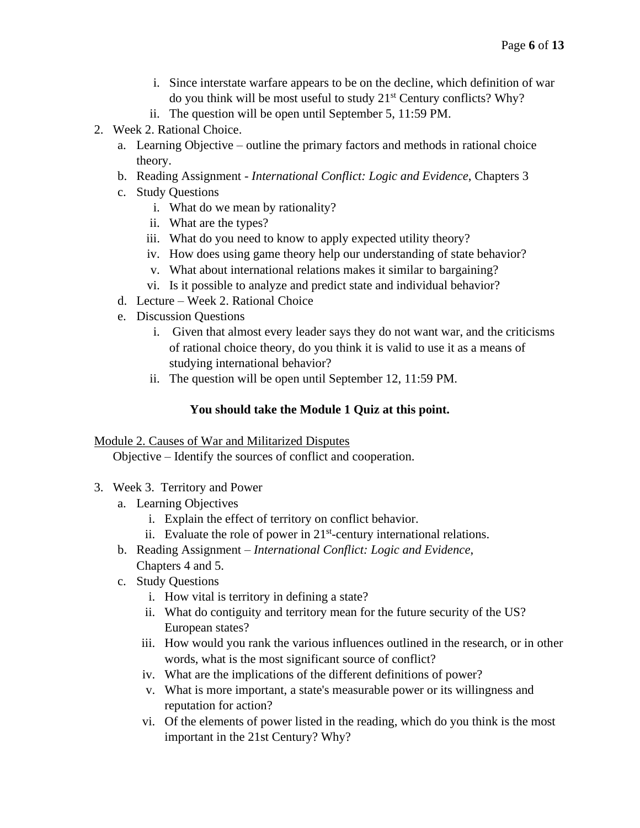- i. Since interstate warfare appears to be on the decline, which definition of war do you think will be most useful to study  $21<sup>st</sup>$  Century conflicts? Why?
- ii. The question will be open until September 5, 11:59 PM.
- 2. Week 2. Rational Choice.
	- a. Learning Objective outline the primary factors and methods in rational choice theory.
	- b. Reading Assignment *International Conflict: Logic and Evidence*, Chapters 3
	- c. Study Questions
		- i. What do we mean by rationality?
		- ii. What are the types?
		- iii. What do you need to know to apply expected utility theory?
		- iv. How does using game theory help our understanding of state behavior?
		- v. What about international relations makes it similar to bargaining?
		- vi. Is it possible to analyze and predict state and individual behavior?
	- d. Lecture Week 2. Rational Choice
	- e. Discussion Questions
		- i. Given that almost every leader says they do not want war, and the criticisms of rational choice theory, do you think it is valid to use it as a means of studying international behavior?
		- ii. The question will be open until September 12, 11:59 PM.

# **You should take the Module 1 Quiz at this point.**

## Module 2. Causes of War and Militarized Disputes

Objective – Identify the sources of conflict and cooperation.

- 3. Week 3. Territory and Power
	- a. Learning Objectives
		- i. Explain the effect of territory on conflict behavior.
		- ii. Evaluate the role of power in  $21<sup>st</sup>$ -century international relations.
	- b. Reading Assignment *International Conflict: Logic and Evidence*, Chapters 4 and 5.
	- c. Study Questions
		- i. How vital is territory in defining a state?
		- ii. What do contiguity and territory mean for the future security of the US? European states?
		- iii. How would you rank the various influences outlined in the research, or in other words, what is the most significant source of conflict?
		- iv. What are the implications of the different definitions of power?
		- v. What is more important, a state's measurable power or its willingness and reputation for action?
		- vi. Of the elements of power listed in the reading, which do you think is the most important in the 21st Century? Why?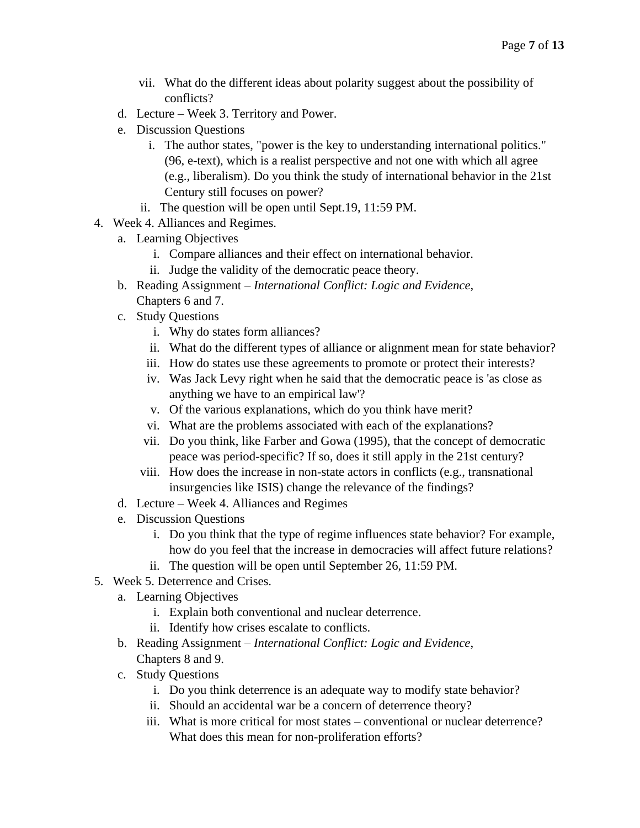- vii. What do the different ideas about polarity suggest about the possibility of conflicts?
- d. Lecture Week 3. Territory and Power.
- e. Discussion Questions
	- i. The author states, "power is the key to understanding international politics." (96, e-text), which is a realist perspective and not one with which all agree (e.g., liberalism). Do you think the study of international behavior in the 21st Century still focuses on power?
	- ii. The question will be open until Sept.19, 11:59 PM.
- 4. Week 4. Alliances and Regimes.
	- a. Learning Objectives
		- i. Compare alliances and their effect on international behavior.
		- ii. Judge the validity of the democratic peace theory.
	- b. Reading Assignment *International Conflict: Logic and Evidence*, Chapters 6 and 7.
	- c. Study Questions
		- i. Why do states form alliances?
		- ii. What do the different types of alliance or alignment mean for state behavior?
		- iii. How do states use these agreements to promote or protect their interests?
		- iv. Was Jack Levy right when he said that the democratic peace is 'as close as anything we have to an empirical law'?
		- v. Of the various explanations, which do you think have merit?
		- vi. What are the problems associated with each of the explanations?
		- vii. Do you think, like Farber and Gowa (1995), that the concept of democratic peace was period-specific? If so, does it still apply in the 21st century?
		- viii. How does the increase in non-state actors in conflicts (e.g., transnational insurgencies like ISIS) change the relevance of the findings?
	- d. Lecture Week 4. Alliances and Regimes
	- e. Discussion Questions
		- i. Do you think that the type of regime influences state behavior? For example, how do you feel that the increase in democracies will affect future relations?
		- ii. The question will be open until September 26, 11:59 PM.
- 5. Week 5. Deterrence and Crises.
	- a. Learning Objectives
		- i. Explain both conventional and nuclear deterrence.
		- ii. Identify how crises escalate to conflicts.
	- b. Reading Assignment *International Conflict: Logic and Evidence*, Chapters 8 and 9.
	- c. Study Questions
		- i. Do you think deterrence is an adequate way to modify state behavior?
		- ii. Should an accidental war be a concern of deterrence theory?
		- iii. What is more critical for most states conventional or nuclear deterrence? What does this mean for non-proliferation efforts?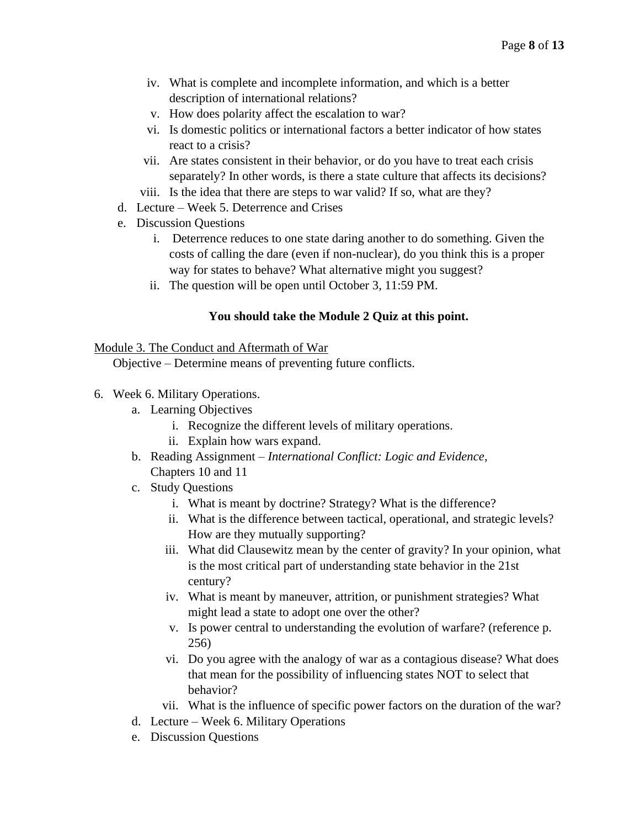- iv. What is complete and incomplete information, and which is a better description of international relations?
- v. How does polarity affect the escalation to war?
- vi. Is domestic politics or international factors a better indicator of how states react to a crisis?
- vii. Are states consistent in their behavior, or do you have to treat each crisis separately? In other words, is there a state culture that affects its decisions?
- viii. Is the idea that there are steps to war valid? If so, what are they?
- d. Lecture Week 5. Deterrence and Crises
- e. Discussion Questions
	- i. Deterrence reduces to one state daring another to do something. Given the costs of calling the dare (even if non-nuclear), do you think this is a proper way for states to behave? What alternative might you suggest?
	- ii. The question will be open until October 3, 11:59 PM.

### **You should take the Module 2 Quiz at this point.**

#### Module 3. The Conduct and Aftermath of War

Objective – Determine means of preventing future conflicts.

- 6. Week 6. Military Operations.
	- a. Learning Objectives
		- i. Recognize the different levels of military operations.
		- ii. Explain how wars expand.
	- b. Reading Assignment *International Conflict: Logic and Evidence*, Chapters 10 and 11
	- c. Study Questions
		- i. What is meant by doctrine? Strategy? What is the difference?
		- ii. What is the difference between tactical, operational, and strategic levels? How are they mutually supporting?
		- iii. What did Clausewitz mean by the center of gravity? In your opinion, what is the most critical part of understanding state behavior in the 21st century?
		- iv. What is meant by maneuver, attrition, or punishment strategies? What might lead a state to adopt one over the other?
		- v. Is power central to understanding the evolution of warfare? (reference p. 256)
		- vi. Do you agree with the analogy of war as a contagious disease? What does that mean for the possibility of influencing states NOT to select that behavior?
		- vii. What is the influence of specific power factors on the duration of the war?
	- d. Lecture Week 6. Military Operations
	- e. Discussion Questions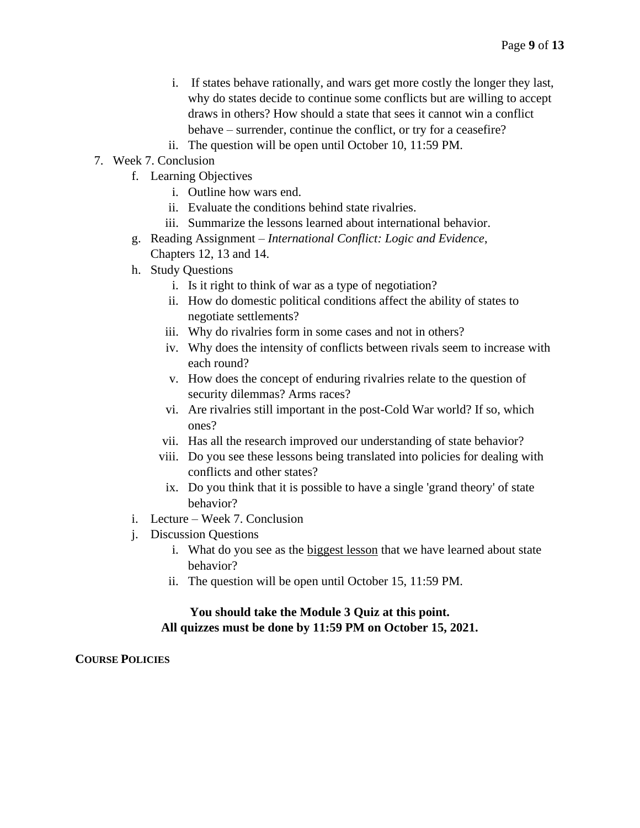- i. If states behave rationally, and wars get more costly the longer they last, why do states decide to continue some conflicts but are willing to accept draws in others? How should a state that sees it cannot win a conflict behave – surrender, continue the conflict, or try for a ceasefire?
- ii. The question will be open until October 10, 11:59 PM.
- 7. Week 7. Conclusion
	- f. Learning Objectives
		- i. Outline how wars end.
		- ii. Evaluate the conditions behind state rivalries.
		- iii. Summarize the lessons learned about international behavior.
	- g. Reading Assignment *International Conflict: Logic and Evidence*, Chapters 12, 13 and 14.
	- h. Study Questions
		- i. Is it right to think of war as a type of negotiation?
		- ii. How do domestic political conditions affect the ability of states to negotiate settlements?
		- iii. Why do rivalries form in some cases and not in others?
		- iv. Why does the intensity of conflicts between rivals seem to increase with each round?
		- v. How does the concept of enduring rivalries relate to the question of security dilemmas? Arms races?
		- vi. Are rivalries still important in the post-Cold War world? If so, which ones?
		- vii. Has all the research improved our understanding of state behavior?
		- viii. Do you see these lessons being translated into policies for dealing with conflicts and other states?
		- ix. Do you think that it is possible to have a single 'grand theory' of state behavior?
	- i. Lecture Week 7. Conclusion
	- j. Discussion Questions
		- i. What do you see as the biggest lesson that we have learned about state behavior?
		- ii. The question will be open until October 15, 11:59 PM.

#### **You should take the Module 3 Quiz at this point. All quizzes must be done by 11:59 PM on October 15, 2021.**

**COURSE POLICIES**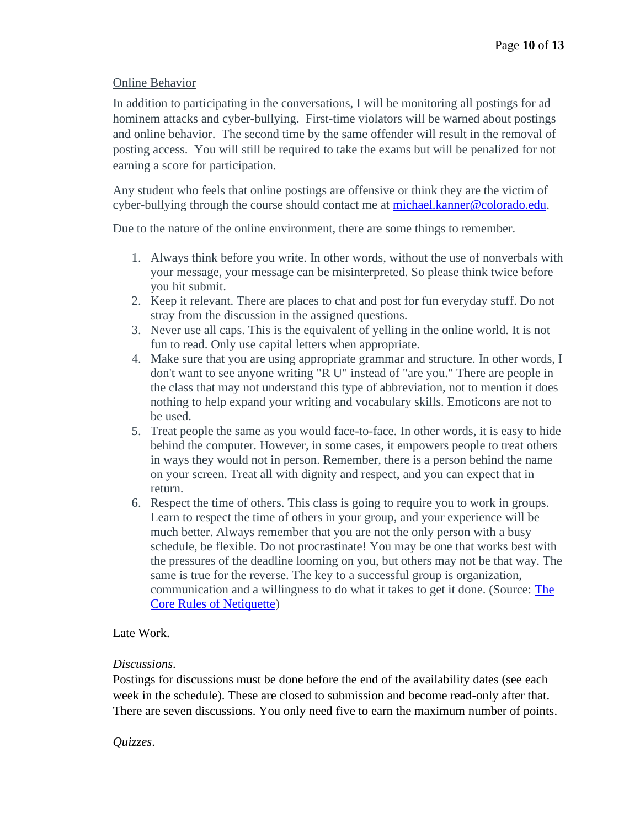### Online Behavior

In addition to participating in the conversations, I will be monitoring all postings for ad hominem attacks and cyber-bullying. First-time violators will be warned about postings and online behavior. The second time by the same offender will result in the removal of posting access. You will still be required to take the exams but will be penalized for not earning a score for participation.

Any student who feels that online postings are offensive or think they are the victim of cyber-bullying through the course should contact me at [michael.kanner@colorado.edu.](mailto:michael.kanner@colorado.edu)

Due to the nature of the online environment, there are some things to remember.

- 1. Always think before you write. In other words, without the use of nonverbals with your message, your message can be misinterpreted. So please think twice before you hit submit.
- 2. Keep it relevant. There are places to chat and post for fun everyday stuff. Do not stray from the discussion in the assigned questions.
- 3. Never use all caps. This is the equivalent of yelling in the online world. It is not fun to read. Only use capital letters when appropriate.
- 4. Make sure that you are using appropriate grammar and structure. In other words, I don't want to see anyone writing "R U" instead of "are you." There are people in the class that may not understand this type of abbreviation, not to mention it does nothing to help expand your writing and vocabulary skills. Emoticons are not to be used.
- 5. Treat people the same as you would face-to-face. In other words, it is easy to hide behind the computer. However, in some cases, it empowers people to treat others in ways they would not in person. Remember, there is a person behind the name on your screen. Treat all with dignity and respect, and you can expect that in return.
- 6. Respect the time of others. This class is going to require you to work in groups. Learn to respect the time of others in your group, and your experience will be much better. Always remember that you are not the only person with a busy schedule, be flexible. Do not procrastinate! You may be one that works best with the pressures of the deadline looming on you, but others may not be that way. The same is true for the reverse. The key to a successful group is organization, communication and a willingness to do what it takes to get it done. (Source: [The](http://www.albion.com/netiquette/corerules.html)  [Core Rules of Netiquette\)](http://www.albion.com/netiquette/corerules.html)

## Late Work.

#### *Discussions*.

Postings for discussions must be done before the end of the availability dates (see each week in the schedule). These are closed to submission and become read-only after that. There are seven discussions. You only need five to earn the maximum number of points.

#### *Quizzes*.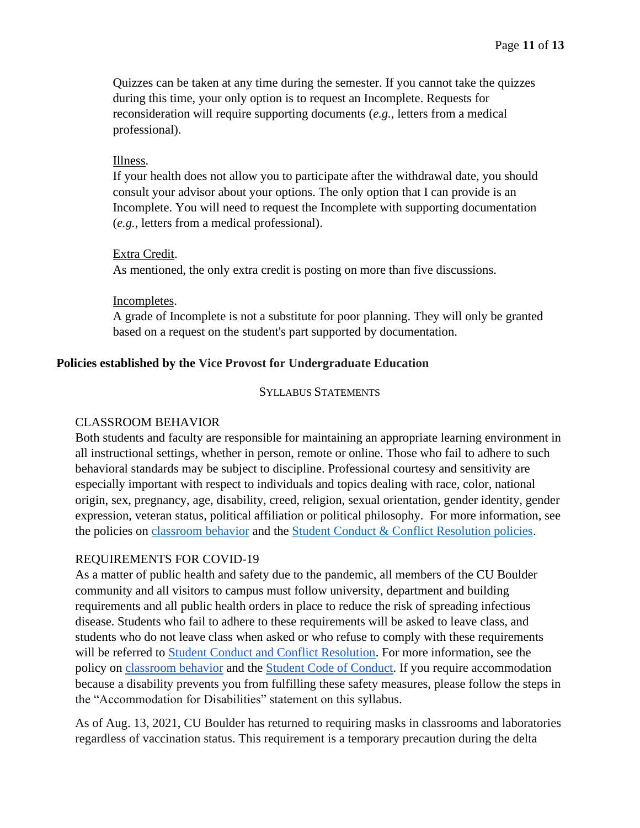Quizzes can be taken at any time during the semester. If you cannot take the quizzes during this time, your only option is to request an Incomplete. Requests for reconsideration will require supporting documents (*e.g.*, letters from a medical professional).

### Illness.

If your health does not allow you to participate after the withdrawal date, you should consult your advisor about your options. The only option that I can provide is an Incomplete. You will need to request the Incomplete with supporting documentation (*e.g.*, letters from a medical professional).

### Extra Credit.

As mentioned, the only extra credit is posting on more than five discussions.

### Incompletes.

A grade of Incomplete is not a substitute for poor planning. They will only be granted based on a request on the student's part supported by documentation.

# **Policies established by the Vice Provost for Undergraduate Education**

#### SYLLABUS STATEMENTS

## CLASSROOM BEHAVIOR

Both students and faculty are responsible for maintaining an appropriate learning environment in all instructional settings, whether in person, remote or online. Those who fail to adhere to such behavioral standards may be subject to discipline. Professional courtesy and sensitivity are especially important with respect to individuals and topics dealing with race, color, national origin, sex, pregnancy, age, disability, creed, religion, sexual orientation, gender identity, gender expression, veteran status, political affiliation or political philosophy. For more information, see the policies on [classroom behavior](http://www.colorado.edu/policies/student-classroom-and-course-related-behavior) and the [Student Conduct & Conflict Resolution policies.](https://www.colorado.edu/sccr/student-conduct)

## REQUIREMENTS FOR COVID-19

As a matter of public health and safety due to the pandemic, all members of the CU Boulder community and all visitors to campus must follow university, department and building requirements and all public health orders in place to reduce the risk of spreading infectious disease. Students who fail to adhere to these requirements will be asked to leave class, and students who do not leave class when asked or who refuse to comply with these requirements will be referred to [Student Conduct and Conflict Resolution.](https://www.colorado.edu/sccr/) For more information, see the policy o[n](https://www.colorado.edu/policies/covid-19-health-and-safety-policy) [classroom behavior](http://www.colorado.edu/policies/student-classroom-and-course-related-behavior) and th[e](http://www.colorado.edu/osccr/) [Student Code of Conduct.](http://www.colorado.edu/osccr/) If you require accommodation because a disability prevents you from fulfilling these safety measures, please follow the steps in the "Accommodation for Disabilities" statement on this syllabus.

As of Aug. 13, 2021, CU Boulder has returned to requiring masks in classrooms and laboratories regardless of vaccination status. This requirement is a temporary precaution during the delta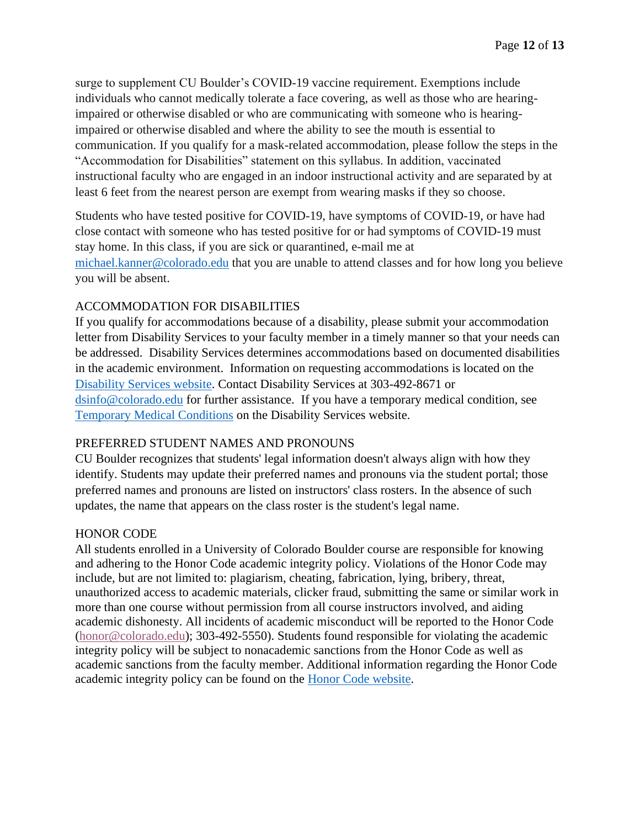surge to supplement CU Boulder's COVID-19 vaccine requirement. Exemptions include individuals who cannot medically tolerate a face covering, as well as those who are hearingimpaired or otherwise disabled or who are communicating with someone who is hearingimpaired or otherwise disabled and where the ability to see the mouth is essential to communication. If you qualify for a mask-related accommodation, please follow the steps in the "Accommodation for Disabilities" statement on this syllabus. In addition, vaccinated instructional faculty who are engaged in an indoor instructional activity and are separated by at least 6 feet from the nearest person are exempt from wearing masks if they so choose.

Students who have tested positive for COVID-19, have symptoms of COVID-19, or have had close contact with someone who has tested positive for or had symptoms of COVID-19 must stay home. In this class, if you are sick or quarantined, e-mail me at [michael.kanner@colorado.edu](mailto:michael.kanner@colorado.edu) that you are unable to attend classes and for how long you believe you will be absent.

## ACCOMMODATION FOR DISABILITIES

If you qualify for accommodations because of a disability, please submit your accommodation letter from Disability Services to your faculty member in a timely manner so that your needs can be addressed. Disability Services determines accommodations based on documented disabilities in the academic environment. Information on requesting accommodations is located on the [Disability Services website.](https://www.colorado.edu/disabilityservices/) Contact Disability Services at 303-492-8671 or [dsinfo@colorado.edu](mailto:dsinfo@colorado.edu) for further assistance. If you have a temporary medical condition, see [Temporary Medical Conditions](http://www.colorado.edu/disabilityservices/students/temporary-medical-conditions) on the Disability Services website.

# PREFERRED STUDENT NAMES AND PRONOUNS

CU Boulder recognizes that students' legal information doesn't always align with how they identify. Students may update their preferred names and pronouns via the student portal; those preferred names and pronouns are listed on instructors' class rosters. In the absence of such updates, the name that appears on the class roster is the student's legal name.

## HONOR CODE

All students enrolled in a University of Colorado Boulder course are responsible for knowing and adhering to the Honor Code academic integrity policy. Violations of the Honor Code may include, but are not limited to: plagiarism, cheating, fabrication, lying, bribery, threat, unauthorized access to academic materials, clicker fraud, submitting the same or similar work in more than one course without permission from all course instructors involved, and aiding academic dishonesty. All incidents of academic misconduct will be reported to the Honor Code [\(honor@colorado.edu\)](mailto:honor@colorado.edu); 303-492-5550). Students found responsible for violating the academic integrity policy will be subject to nonacademic sanctions from the Honor Code as well as academic sanctions from the faculty member. Additional information regarding the Honor Code academic integrity policy can be found on the [Honor Code website.](https://www.colorado.edu/osccr/honor-code)